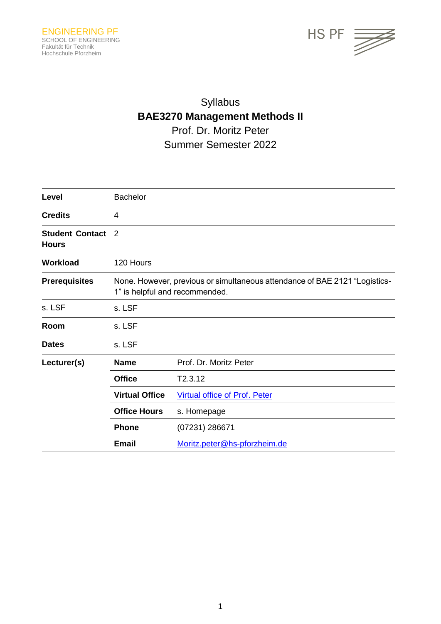

# Syllabus **BAE3270 Management Methods II** Prof. Dr. Moritz Peter Summer Semester 2022

| Level                                  | <b>Bachelor</b>                                                                                              |                                      |
|----------------------------------------|--------------------------------------------------------------------------------------------------------------|--------------------------------------|
| <b>Credits</b>                         | 4                                                                                                            |                                      |
| <b>Student Contact</b><br><b>Hours</b> | 2                                                                                                            |                                      |
| Workload                               | 120 Hours                                                                                                    |                                      |
| <b>Prerequisites</b>                   | None. However, previous or simultaneous attendance of BAE 2121 "Logistics-<br>1" is helpful and recommended. |                                      |
| s. LSF                                 | s. LSF                                                                                                       |                                      |
| Room                                   | s. LSF                                                                                                       |                                      |
| <b>Dates</b>                           | s. LSF                                                                                                       |                                      |
| Lecturer(s)                            | <b>Name</b>                                                                                                  | Prof. Dr. Moritz Peter               |
|                                        | <b>Office</b>                                                                                                | T2.3.12                              |
|                                        | <b>Virtual Office</b>                                                                                        | <b>Virtual office of Prof. Peter</b> |
|                                        | <b>Office Hours</b>                                                                                          | s. Homepage                          |
|                                        | <b>Phone</b>                                                                                                 | (07231) 286671                       |
|                                        | <b>Email</b>                                                                                                 | Moritz.peter@hs-pforzheim.de         |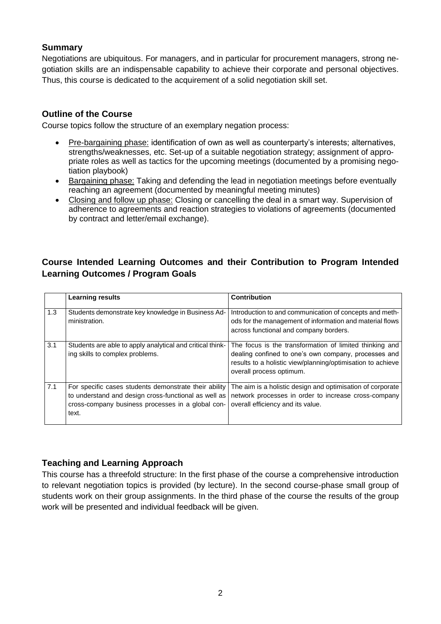## **Summary**

Negotiations are ubiquitous. For managers, and in particular for procurement managers, strong negotiation skills are an indispensable capability to achieve their corporate and personal objectives. Thus, this course is dedicated to the acquirement of a solid negotiation skill set.

### **Outline of the Course**

Course topics follow the structure of an exemplary negation process:

- Pre-bargaining phase: identification of own as well as counterparty's interests; alternatives, strengths/weaknesses, etc. Set-up of a suitable negotiation strategy; assignment of appropriate roles as well as tactics for the upcoming meetings (documented by a promising negotiation playbook)
- Bargaining phase: Taking and defending the lead in negotiation meetings before eventually reaching an agreement (documented by meaningful meeting minutes)
- Closing and follow up phase: Closing or cancelling the deal in a smart way. Supervision of adherence to agreements and reaction strategies to violations of agreements (documented by contract and letter/email exchange).

# **Course Intended Learning Outcomes and their Contribution to Program Intended Learning Outcomes / Program Goals**

|     | <b>Learning results</b>                                                                                                                                                     | <b>Contribution</b>                                                                                                                                                                                        |
|-----|-----------------------------------------------------------------------------------------------------------------------------------------------------------------------------|------------------------------------------------------------------------------------------------------------------------------------------------------------------------------------------------------------|
| 1.3 | Students demonstrate key knowledge in Business Ad-<br>ministration.                                                                                                         | Introduction to and communication of concepts and meth-<br>ods for the management of information and material flows<br>across functional and company borders.                                              |
| 3.1 | Students are able to apply analytical and critical think-<br>ing skills to complex problems.                                                                                | The focus is the transformation of limited thinking and<br>dealing confined to one's own company, processes and<br>results to a holistic view/planning/optimisation to achieve<br>overall process optimum. |
| 7.1 | For specific cases students demonstrate their ability<br>to understand and design cross-functional as well as<br>cross-company business processes in a global con-<br>text. | The aim is a holistic design and optimisation of corporate<br>network processes in order to increase cross-company<br>overall efficiency and its value.                                                    |

# **Teaching and Learning Approach**

This course has a threefold structure: In the first phase of the course a comprehensive introduction to relevant negotiation topics is provided (by lecture). In the second course-phase small group of students work on their group assignments. In the third phase of the course the results of the group work will be presented and individual feedback will be given.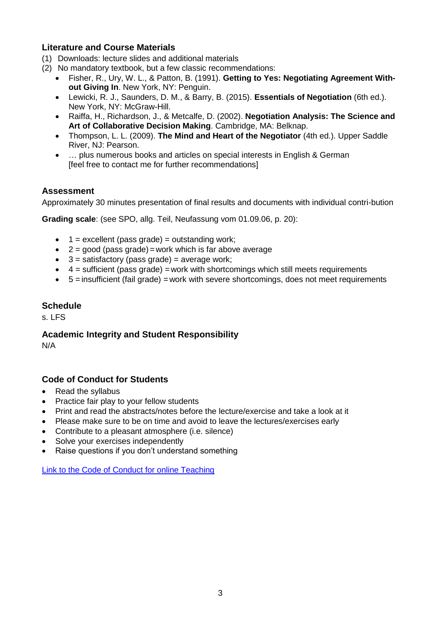## **Literature and Course Materials**

- (1) Downloads: lecture slides and additional materials
- (2) No mandatory textbook, but a few classic recommendations:
	- Fisher, R., Ury, W. L., & Patton, B. (1991). **Getting to Yes: Negotiating Agreement Without Giving In**. New York, NY: Penguin.
	- Lewicki, R. J., Saunders, D. M., & Barry, B. (2015). **Essentials of Negotiation** (6th ed.). New York, NY: McGraw-Hill.
	- Raiffa, H., Richardson, J., & Metcalfe, D. (2002). **Negotiation Analysis: The Science and Art of Collaborative Decision Making**. Cambridge, MA: Belknap.
	- Thompson, L. L. (2009). **The Mind and Heart of the Negotiator** (4th ed.). Upper Saddle River, NJ: Pearson.
	- … plus numerous books and articles on special interests in English & German [feel free to contact me for further recommendations]

## **Assessment**

Approximately 30 minutes presentation of final results and documents with individual contri-bution

**Grading scale**: (see SPO, allg. Teil, Neufassung vom 01.09.06, p. 20):

- $\bullet$  1 = excellent (pass grade) = outstanding work;
- $\bullet$  2 = good (pass grade) = work which is far above average
- $\bullet$  3 = satisfactory (pass grade) = average work;
- $\bullet$  4 = sufficient (pass grade) = work with shortcomings which still meets requirements
- 5 = insufficient (fail grade) =work with severe shortcomings, does not meet requirements

#### **Schedule**

 $s.$  LFS

# **Academic Integrity and Student Responsibility**

N/A

#### **Code of Conduct for Students**

- Read the syllabus
- Practice fair play to your fellow students
- Print and read the abstracts/notes before the lecture/exercise and take a look at it
- Please make sure to be on time and avoid to leave the lectures/exercises early
- Contribute to a pleasant atmosphere (i.e. silence)
- Solve your exercises independently
- Raise questions if you don't understand something

[Link to the Code of Conduct for online Teaching](https://e-campus.hs-pforzheim.de/business_pf/digital_learning_tools_links)